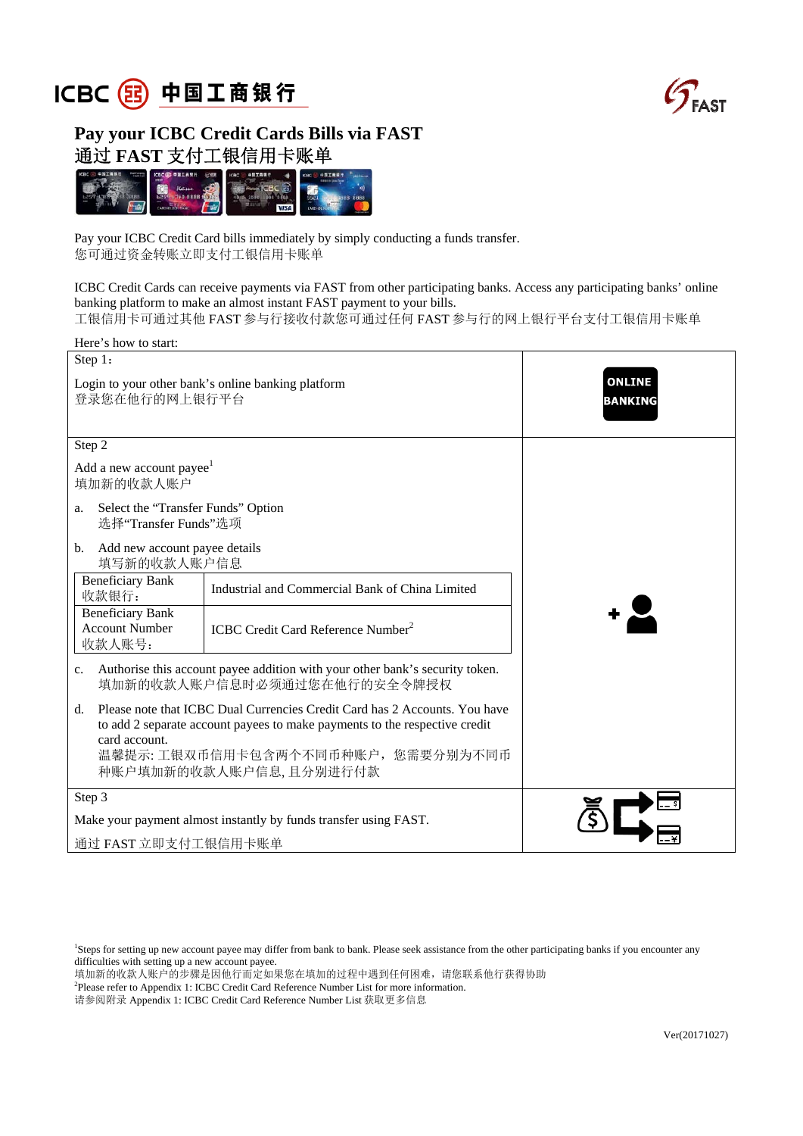



## **Pay your ICBC Credit Cards Bills via FAST**  通过 **FAST** 支付工银信用卡账单



Pay your ICBC Credit Card bills immediately by simply conducting a funds transfer. 您可通过资金转账立即支付工银信用卡账单

ICBC Credit Cards can receive payments via FAST from other participating banks. Access any participating banks' online banking platform to make an almost instant FAST payment to your bills. 工银信用卡可通过其他 FAST 参与行接收付款您可通过任何 FAST 参与行的网上银行平台支付工银信用卡账单

| Here's how to start:                                                                                                                                                                                                                                |                                                 |                                 |  |  |
|-----------------------------------------------------------------------------------------------------------------------------------------------------------------------------------------------------------------------------------------------------|-------------------------------------------------|---------------------------------|--|--|
| Step 1:                                                                                                                                                                                                                                             |                                                 |                                 |  |  |
| Login to your other bank's online banking platform<br>登录您在他行的网上银行平台                                                                                                                                                                                 |                                                 | <b>ONLINE</b><br><b>BANKING</b> |  |  |
| Step 2                                                                                                                                                                                                                                              |                                                 |                                 |  |  |
| Add a new account payee <sup>1</sup><br>填加新的收款人账户                                                                                                                                                                                                   |                                                 |                                 |  |  |
| Select the "Transfer Funds" Option<br>a.<br>选择"Transfer Funds"选项                                                                                                                                                                                    |                                                 |                                 |  |  |
| Add new account payee details<br>$\mathbf{b}$ .<br>填写新的收款人账户信息                                                                                                                                                                                      |                                                 |                                 |  |  |
| <b>Beneficiary Bank</b><br>收款银行:                                                                                                                                                                                                                    | Industrial and Commercial Bank of China Limited |                                 |  |  |
| <b>Beneficiary Bank</b><br><b>Account Number</b><br>收款人账号:                                                                                                                                                                                          | ICBC Credit Card Reference Number <sup>2</sup>  |                                 |  |  |
| c. Authorise this account payee addition with your other bank's security token.<br>填加新的收款人账户信息时必须通过您在他行的安全令牌授权                                                                                                                                      |                                                 |                                 |  |  |
| Please note that ICBC Dual Currencies Credit Card has 2 Accounts. You have<br>$d_{-}$<br>to add 2 separate account payees to make payments to the respective credit<br>card account.<br>温馨提示:工银双币信用卡包含两个不同币种账户, 您需要分别为不同币<br>种账户填加新的收款人账户信息,且分别进行付款 |                                                 |                                 |  |  |
| Step 3                                                                                                                                                                                                                                              |                                                 |                                 |  |  |
| Make your payment almost instantly by funds transfer using FAST.                                                                                                                                                                                    |                                                 |                                 |  |  |
| 通过 FAST 立即支付工银信用卡账单                                                                                                                                                                                                                                 |                                                 |                                 |  |  |

1 Steps for setting up new account payee may differ from bank to bank. Please seek assistance from the other participating banks if you encounter any difficulties with setting up a new account payee.

填加新的收款人账户的步骤是因他行而定如果您在填加的过程中遇到任何困难,请您联系他行获得协助

<sup>2</sup>Please refer to Appendix 1: ICBC Credit Card Reference Number List for more information.

请参阅附录 Appendix 1: ICBC Credit Card Reference Number List 获取更多信息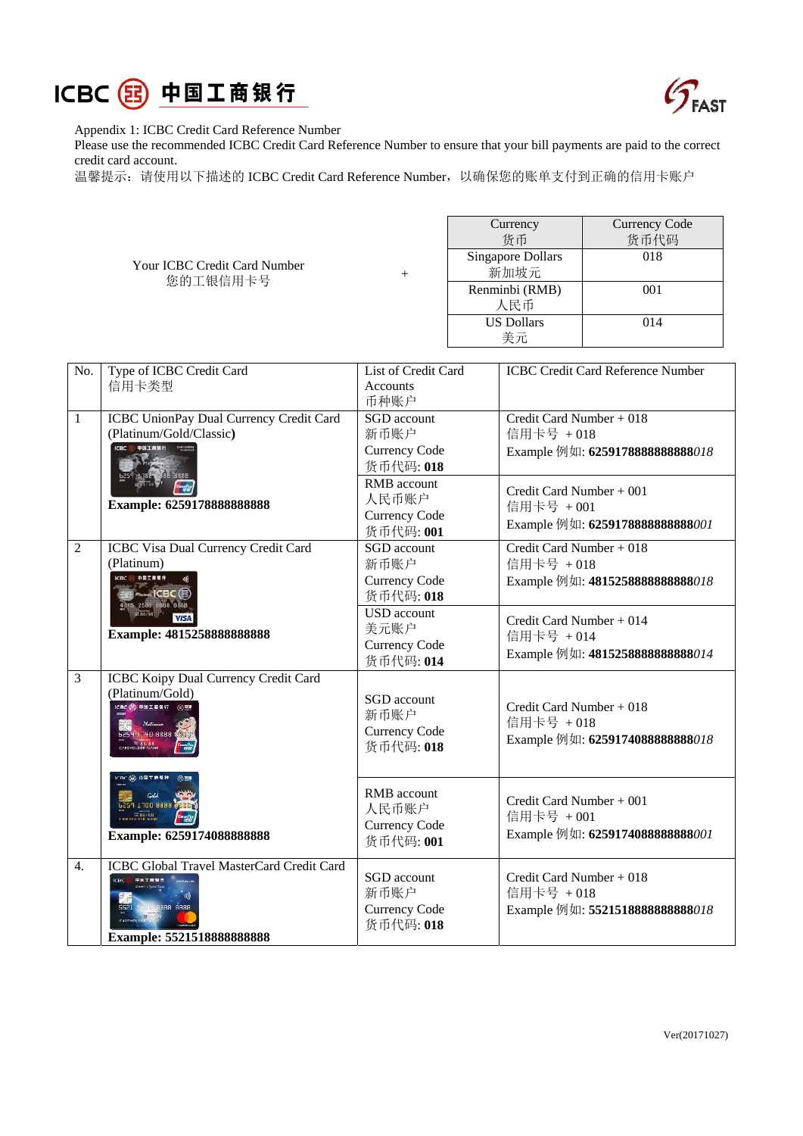



Appendix 1: ICBC Credit Card Reference Number

Please use the recommended ICBC Credit Card Reference Number to ensure that your bill payments are paid to the correct credit card account.

温馨提示: 请使用以下描述的 ICBC Credit Card Reference Number, 以确保您的账单支付到正确的信用卡账户

Your ICBC Credit Card Number 您的工银信用卡号 <sup>+</sup>

| Currency          | <b>Currency Code</b> |  |
|-------------------|----------------------|--|
| 货币                | 货币代码                 |  |
| Singapore Dollars | 018                  |  |
| 新加坡元              |                      |  |
| Renminbi (RMB)    | 001                  |  |
| 人民币               |                      |  |
| <b>US Dollars</b> | 014                  |  |
| 美元                |                      |  |

| No.              | Type of ICBC Credit Card                                                                                                   | List of Credit Card                                             | <b>ICBC Credit Card Reference Number</b>                                   |
|------------------|----------------------------------------------------------------------------------------------------------------------------|-----------------------------------------------------------------|----------------------------------------------------------------------------|
|                  | 信用卡类型                                                                                                                      | <b>Accounts</b><br>币种账户                                         |                                                                            |
| $\mathbf{1}$     | ICBC UnionPay Dual Currency Credit Card<br>(Platinum/Gold/Classic)                                                         | SGD account<br>新币账户<br><b>Currency Code</b><br>货币代码: 018        | Credit Card Number + 018<br>信用卡号 +018<br>Example 例如: 6259178888888888018   |
|                  | Example: 6259178888888888                                                                                                  | RMB account<br>人民币账户<br><b>Currency Code</b><br>货币代码: 001       | Credit Card Number + 001<br>信用卡号 +001<br>Example 例如: 6259178888888888001   |
| $\overline{2}$   | ICBC Visa Dual Currency Credit Card<br>(Platinum)<br>中国工程银行<br><b>ALL ICBC</b> (3)<br>4015 2588 8888 8888                  | SGD account<br>新币账户<br><b>Currency Code</b><br>货币代码: 018        | Credit Card Number + $018$<br>信用卡号 +018<br>Example 例如: 4815258888888888018 |
|                  | <b>VISA</b><br>Example: 4815258888888888                                                                                   | <b>USD</b> account<br>美元账户<br><b>Currency Code</b><br>货币代码: 014 | Credit Card Number $+014$<br>信用卡号 +014<br>Example 例如: 4815258888888888014  |
| 3                | <b>ICBC Koipy Dual Currency Credit Card</b><br>(Platinum/Gold)<br>CBC (R) 中国工商银行<br>6259 1740 8888 8839<br>CARDHOLDER NAME | SGD account<br>新币账户<br>Currency Code<br>货币代码: 018               | Credit Card Number + 018<br>信用卡号 +018<br>Example 例如: 62591740888888888018  |
|                  | CBC (B) 中国工商银行<br>6259 1100 8888<br>88/88<br>Example: 6259174088888888                                                     | RMB account<br>人民币账户<br><b>Currency Code</b><br>货币代码: 001       | Credit Card Number + 001<br>信用卡号 +001<br>Example 例如: 6259174088888888001   |
| $\overline{4}$ . | ICBC Global Travel MasterCard Credit Card<br>中国工商银行<br>8888 8888<br>Example: 5521518888888888                              | SGD account<br>新币账户<br><b>Currency Code</b><br>货币代码: 018        | Credit Card Number + 018<br>信用卡号 +018<br>Example 例如: 5521518888888888018   |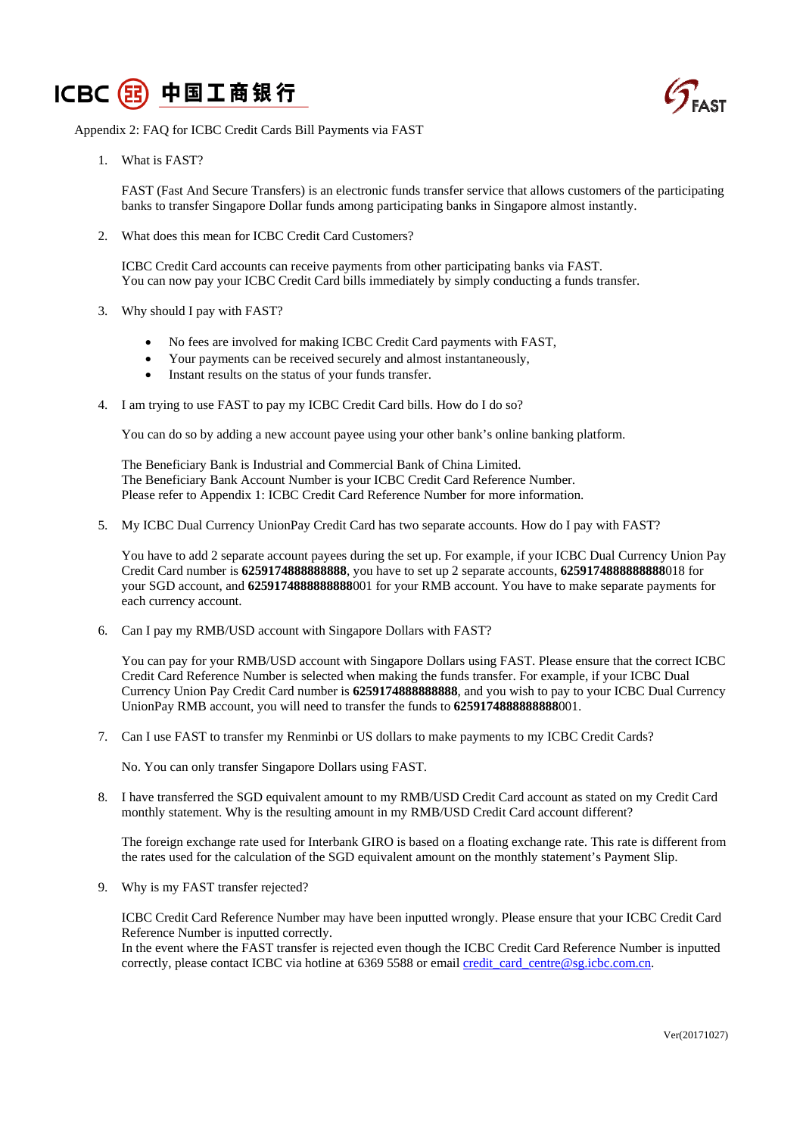



Appendix 2: FAQ for ICBC Credit Cards Bill Payments via FAST

1. What is FAST?

FAST (Fast And Secure Transfers) is an electronic funds transfer service that allows customers of the participating banks to transfer Singapore Dollar funds among participating banks in Singapore almost instantly.

2. What does this mean for ICBC Credit Card Customers?

ICBC Credit Card accounts can receive payments from other participating banks via FAST. You can now pay your ICBC Credit Card bills immediately by simply conducting a funds transfer.

- 3. Why should I pay with FAST?
	- No fees are involved for making ICBC Credit Card payments with FAST,
	- Your payments can be received securely and almost instantaneously,
	- Instant results on the status of your funds transfer.
- 4. I am trying to use FAST to pay my ICBC Credit Card bills. How do I do so?

You can do so by adding a new account payee using your other bank's online banking platform.

The Beneficiary Bank is Industrial and Commercial Bank of China Limited. The Beneficiary Bank Account Number is your ICBC Credit Card Reference Number. Please refer to Appendix 1: ICBC Credit Card Reference Number for more information.

5. My ICBC Dual Currency UnionPay Credit Card has two separate accounts. How do I pay with FAST?

You have to add 2 separate account payees during the set up. For example, if your ICBC Dual Currency Union Pay Credit Card number is **6259174888888888**, you have to set up 2 separate accounts, **6259174888888888**018 for your SGD account, and **6259174888888888**001 for your RMB account. You have to make separate payments for each currency account.

6. Can I pay my RMB/USD account with Singapore Dollars with FAST?

You can pay for your RMB/USD account with Singapore Dollars using FAST. Please ensure that the correct ICBC Credit Card Reference Number is selected when making the funds transfer. For example, if your ICBC Dual Currency Union Pay Credit Card number is **6259174888888888**, and you wish to pay to your ICBC Dual Currency UnionPay RMB account, you will need to transfer the funds to **6259174888888888**001.

7. Can I use FAST to transfer my Renminbi or US dollars to make payments to my ICBC Credit Cards?

No. You can only transfer Singapore Dollars using FAST.

8. I have transferred the SGD equivalent amount to my RMB/USD Credit Card account as stated on my Credit Card monthly statement. Why is the resulting amount in my RMB/USD Credit Card account different?

The foreign exchange rate used for Interbank GIRO is based on a floating exchange rate. This rate is different from the rates used for the calculation of the SGD equivalent amount on the monthly statement's Payment Slip.

9. Why is my FAST transfer rejected?

ICBC Credit Card Reference Number may have been inputted wrongly. Please ensure that your ICBC Credit Card Reference Number is inputted correctly.

In the event where the FAST transfer is rejected even though the ICBC Credit Card Reference Number is inputted correctly, please contact ICBC via hotline at 6369 5588 or email credit card centre@sg.icbc.com.cn.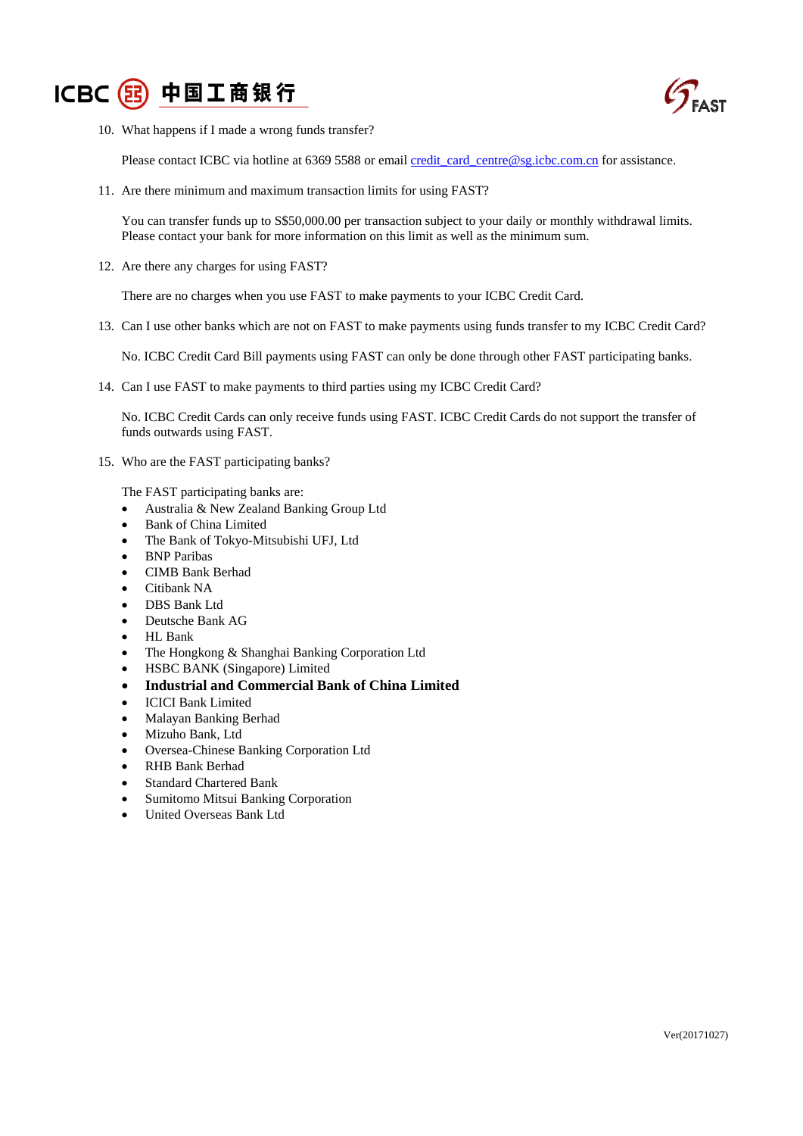



10. What happens if I made a wrong funds transfer?

Please contact ICBC via hotline at 6369 5588 or email credit card centre@sg.icbc.com.cn for assistance.

11. Are there minimum and maximum transaction limits for using FAST?

You can transfer funds up to S\$50,000.00 per transaction subject to your daily or monthly withdrawal limits. Please contact your bank for more information on this limit as well as the minimum sum.

12. Are there any charges for using FAST?

There are no charges when you use FAST to make payments to your ICBC Credit Card.

13. Can I use other banks which are not on FAST to make payments using funds transfer to my ICBC Credit Card?

No. ICBC Credit Card Bill payments using FAST can only be done through other FAST participating banks.

14. Can I use FAST to make payments to third parties using my ICBC Credit Card?

No. ICBC Credit Cards can only receive funds using FAST. ICBC Credit Cards do not support the transfer of funds outwards using FAST.

15. Who are the FAST participating banks?

The FAST participating banks are:

- Australia & New Zealand Banking Group Ltd
- Bank of China Limited
- The Bank of Tokyo-Mitsubishi UFJ, Ltd
- BNP Paribas
- CIMB Bank Berhad
- Citibank NA
- DBS Bank Ltd
- Deutsche Bank AG
- HL Bank
- The Hongkong & Shanghai Banking Corporation Ltd
- HSBC BANK (Singapore) Limited
- **Industrial and Commercial Bank of China Limited**
- ICICI Bank Limited
- Malayan Banking Berhad
- Mizuho Bank, Ltd
- Oversea-Chinese Banking Corporation Ltd
- RHB Bank Berhad
- Standard Chartered Bank
- Sumitomo Mitsui Banking Corporation
- United Overseas Bank Ltd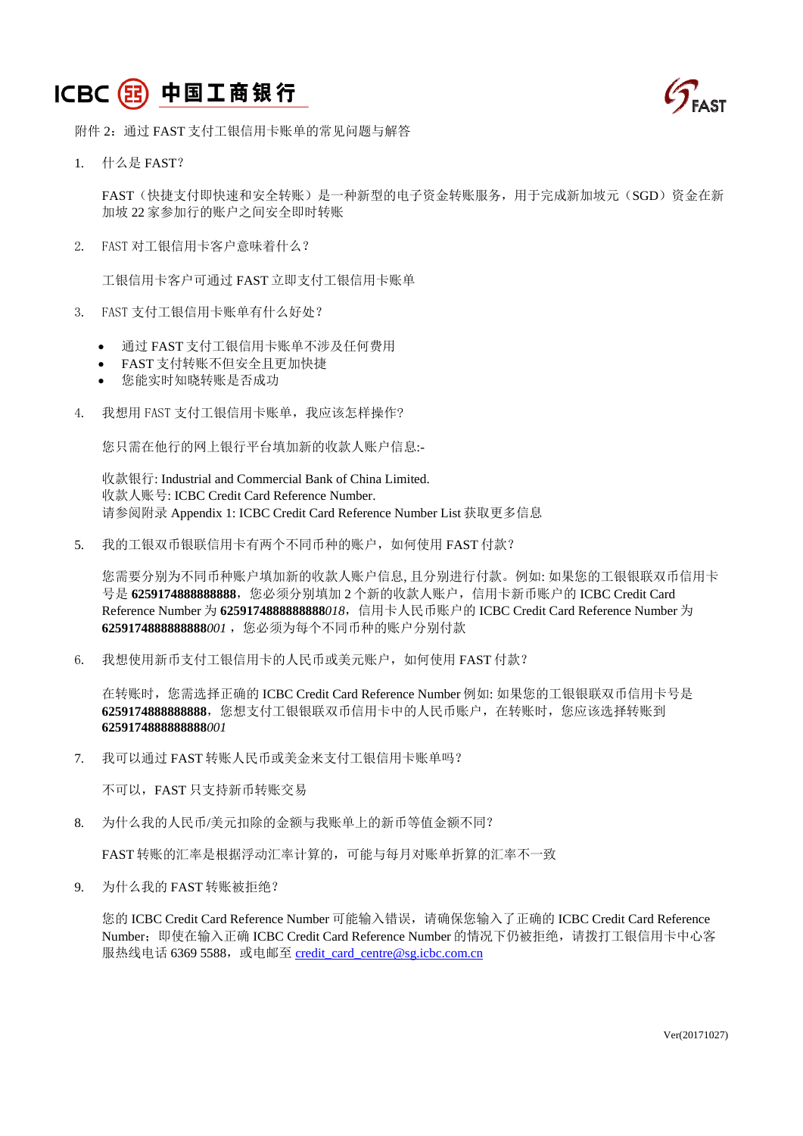## ICBC 3 中国工商银行



附件 2: 通过 FAST 支付工银信用卡账单的常见问题与解答

1. 什么是 FAST?

FAST(快捷支付即快速和安全转账)是一种新型的电子资金转账服务,用于完成新加坡元(SGD)资金在新 加坡 22 家参加行的账户之间安全即时转账

2. FAST 对工银信用卡客户意味着什么?

工银信用卡客户可通过 FAST 立即支付工银信用卡账单

- 3. FAST 支付工银信用卡账单有什么好处?
	- 通过 FAST 支付工银信用卡账单不涉及任何费用
	- FAST 支付转账不但安全且更加快捷
	- 您能实时知晓转账是否成功
- 4. 我想用 FAST 支付工银信用卡账单, 我应该怎样操作?

您只需在他行的网上银行平台填加新的收款人账户信息:-

收款银行: Industrial and Commercial Bank of China Limited. 收款人账号: ICBC Credit Card Reference Number. 请参阅附录 Appendix 1: ICBC Credit Card Reference Number List 获取更多信息

5. 我的工银双币银联信用卡有两个不同币种的账户,如何使用 FAST 付款?

您需要分别为不同币种账户填加新的收款人账户信息, 且分别进行付款。例如: 如果您的工银银联双币信用卡 号是 **6259174888888888**,您必须分别填加 2 个新的收款人账户,信用卡新币账户的 ICBC Credit Card Reference Number 为 **6259174888888888***018*,信用卡人民币账户的 ICBC Credit Card Reference Number 为 **6259174888888888***001* ,您必须为每个不同币种的账户分别付款

6. 我想使用新币支付工银信用卡的人民币或美元账户,如何使用 FAST 付款?

在转账时,您需选择正确的 ICBC Credit Card Reference Number 例如: 如果您的工银银联双币信用卡号是 **6259174888888888**,您想支付工银银联双币信用卡中的人民币账户,在转账时,您应该选择转账到 **6259174888888888***001* 

7. 我可以通过 FAST 转账人民币或美金来支付工银信用卡账单吗?

不可以,FAST 只支持新币转账交易

8. 为什么我的人民币/美元扣除的金额与我账单上的新币等值金额不同?

FAST 转账的汇率是根据浮动汇率计算的,可能与每月对账单折算的汇率不一致

9. 为什么我的 FAST 转账被拒绝?

您的 ICBC Credit Card Reference Number 可能输入错误,请确保您输入了正确的 ICBC Credit Card Reference Number; 即使在输入正确 ICBC Credit Card Reference Number 的情况下仍被拒绝, 请拨打工银信用卡中心客 服热线电话 6369 5588, 或电邮至 credit\_card\_centre@sg.icbc.com.cn